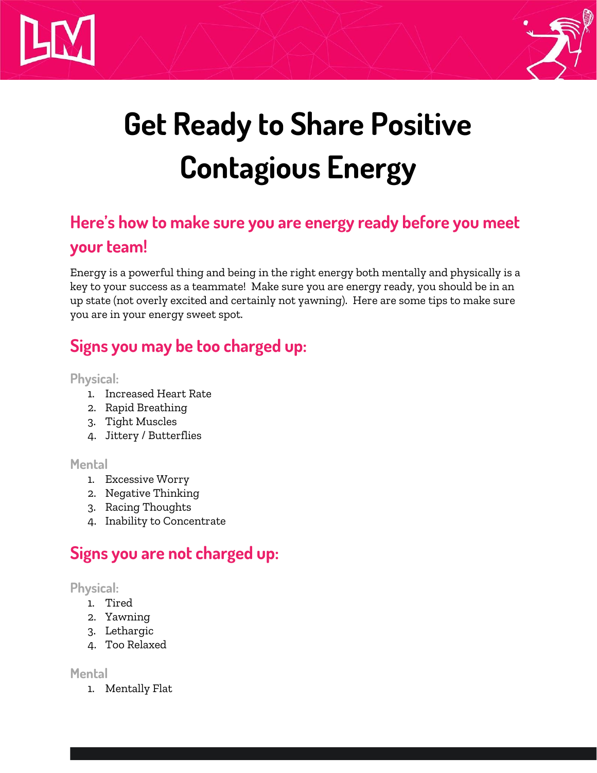



# **Get Ready to Share Positive Contagious Energy**

## **Here's how to make sure you are energy ready before you meet your team!**

Energy is a powerful thing and being in the right energy both mentally and physically is a key to your success as a teammate! Make sure you are energy ready, you should be in an up state (not overly excited and certainly not yawning). Here are some tips to make sure you are in your energy sweet spot.

## **Signs you may be too charged up:**

**Physical:**

- 1. Increased Heart Rate
- 2. Rapid Breathing
- 3. Tight Muscles
- 4. Jittery / Butterflies

#### **Mental**

- 1. Excessive Worry
- 2. Negative Thinking
- 3. Racing Thoughts
- 4. Inability to Concentrate

### **Signs you are not charged up:**

#### **Physical:**

- 1. Tired
- 2. Yawning
- 3. Lethargic
- 4. Too Relaxed

#### **Mental**

1. Mentally Flat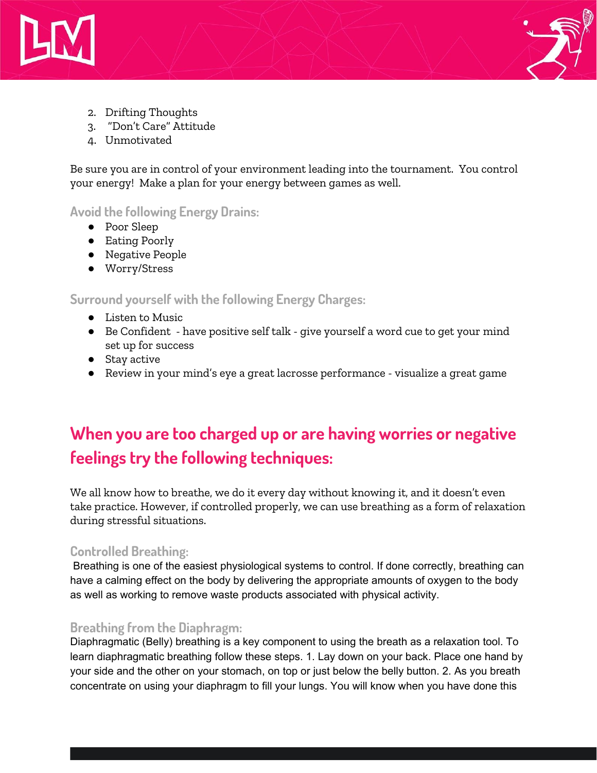



- 2. Drifting Thoughts
- 3. "Don't Care" Attitude
- 4. Unmotivated

Be sure you are in control of your environment leading into the tournament. You control your energy! Make a plan for your energy between games as well.

**Avoid the following Energy Drains:**

- Poor Sleep
- Eating Poorly
- Negative People
- Worry/Stress

**Surround yourself with the following Energy Charges:**

- Listen to Music
- Be Confident have positive self talk give yourself a word cue to get your mind set up for success
- Stay active
- Review in your mind's eye a great lacrosse performance visualize a great game

## **When you are too charged up or are having worries or negative feelings try the following techniques:**

We all know how to breathe, we do it every day without knowing it, and it doesn't even take practice. However, if controlled properly, we can use breathing as a form of relaxation during stressful situations.

#### **Controlled Breathing:**

Breathing is one of the easiest physiological systems to control. If done correctly, breathing can have a calming effect on the body by delivering the appropriate amounts of oxygen to the body as well as working to remove waste products associated with physical activity.

#### **Breathing from the Diaphragm:**

Diaphragmatic (Belly) breathing is a key component to using the breath as a relaxation tool. To learn diaphragmatic breathing follow these steps. 1. Lay down on your back. Place one hand by your side and the other on your stomach, on top or just below the belly button. 2. As you breath concentrate on using your diaphragm to fill your lungs. You will know when you have done this